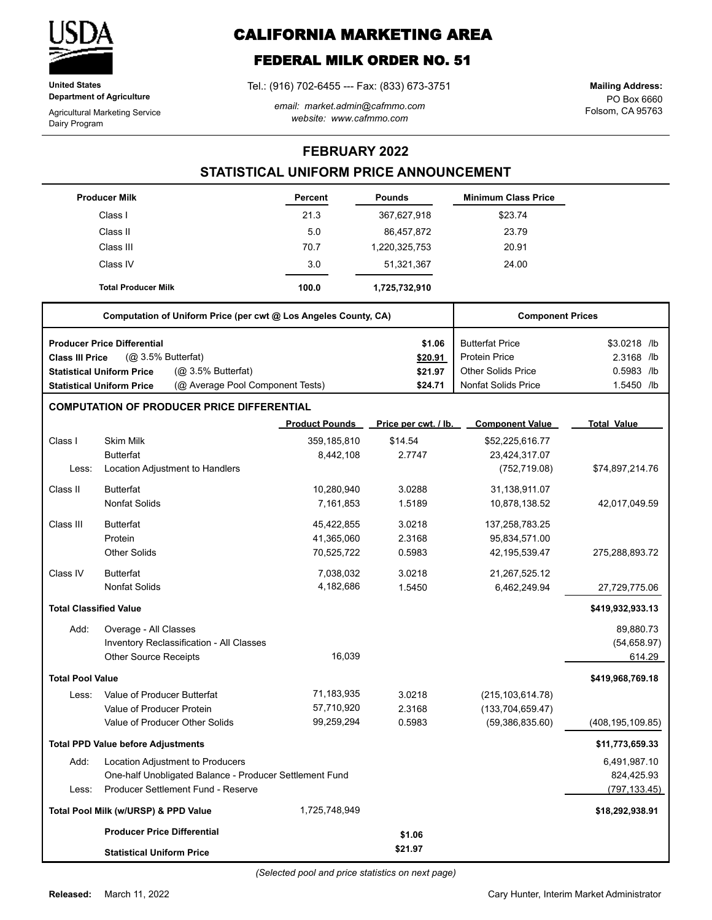

**United States Department of Agriculture**

Agricultural Marketing Service Dairy Program

# **CALIFORNIA MARKETING AREA**

## **FEDERAL MILK ORDER NO. 51**

Tel.: (916) 702-6455 --- Fax: (833) 673-3751

*email: market.admin@cafmmo.com website: www.cafmmo.com*

PO Box 6660 Folsom, CA 95763 **Mailing Address:**

### **FEBRUARY 2022**

### **STATISTICAL UNIFORM PRICE ANNOUNCEMENT**

|                               | <b>Producer Milk</b>                                                 | Percent               | <b>Pounds</b>        | <b>Minimum Class Price</b> |                    |
|-------------------------------|----------------------------------------------------------------------|-----------------------|----------------------|----------------------------|--------------------|
|                               | Class I                                                              | 21.3                  | 367,627,918          | \$23.74                    |                    |
|                               | Class II                                                             | 5.0                   | 86,457,872           | 23.79                      |                    |
|                               | Class III                                                            | 70.7                  | 1,220,325,753        | 20.91                      |                    |
|                               | Class IV                                                             | 3.0                   | 51,321,367           | 24.00                      |                    |
|                               | <b>Total Producer Milk</b>                                           | 100.0                 | 1,725,732,910        |                            |                    |
|                               | Computation of Uniform Price (per cwt @ Los Angeles County, CA)      |                       |                      | <b>Component Prices</b>    |                    |
|                               | <b>Producer Price Differential</b>                                   |                       | \$1.06               | <b>Butterfat Price</b>     | \$3.0218 /lb       |
| <b>Class III Price</b>        | (@ 3.5% Butterfat)                                                   |                       | \$20.91              | <b>Protein Price</b>       | 2.3168 /lb         |
|                               | (Q <sub>2</sub> 3.5% Butterfat)<br><b>Statistical Uniform Price</b>  |                       | \$21.97              | <b>Other Solids Price</b>  | 0.5983 /lb         |
|                               | (@ Average Pool Component Tests)<br><b>Statistical Uniform Price</b> |                       | \$24.71              | <b>Nonfat Solids Price</b> | 1.5450 /lb         |
|                               | <b>COMPUTATION OF PRODUCER PRICE DIFFERENTIAL</b>                    |                       |                      |                            |                    |
|                               |                                                                      | <b>Product Pounds</b> | Price per cwt. / lb. | <b>Component Value</b>     | <b>Total Value</b> |
| Class I                       | <b>Skim Milk</b>                                                     | 359,185,810           | \$14.54              | \$52,225,616.77            |                    |
|                               | <b>Butterfat</b>                                                     | 8,442,108             | 2.7747               | 23,424,317.07              |                    |
| Less:                         | Location Adjustment to Handlers                                      |                       |                      | (752, 719.08)              | \$74,897,214.76    |
| Class II                      | <b>Butterfat</b>                                                     | 10,280,940            | 3.0288               | 31,138,911.07              |                    |
|                               | <b>Nonfat Solids</b>                                                 | 7,161,853             | 1.5189               | 10,878,138.52              | 42,017,049.59      |
| Class III                     | <b>Butterfat</b>                                                     | 45,422,855            | 3.0218               | 137,258,783.25             |                    |
|                               | Protein                                                              | 41,365,060            | 2.3168               | 95,834,571.00              |                    |
|                               | <b>Other Solids</b>                                                  | 70,525,722            | 0.5983               | 42, 195, 539. 47           | 275,288,893.72     |
| Class IV                      | <b>Butterfat</b>                                                     | 7,038,032             | 3.0218               | 21,267,525.12              |                    |
|                               | <b>Nonfat Solids</b>                                                 | 4,182,686             | 1.5450               | 6,462,249.94               | 27,729,775.06      |
| <b>Total Classified Value</b> |                                                                      |                       |                      |                            | \$419,932,933.13   |
| Add:                          | Overage - All Classes                                                |                       |                      |                            | 89,880.73          |
|                               | Inventory Reclassification - All Classes                             |                       |                      |                            | (54, 658.97)       |
|                               | <b>Other Source Receipts</b>                                         | 16.039                |                      |                            | 614.29             |
| <b>Total Pool Value</b>       |                                                                      |                       |                      |                            | \$419,968,769.18   |
| Less:                         | Value of Producer Butterfat                                          | 71,183,935            | 3.0218               | (215, 103, 614.78)         |                    |
|                               | Value of Producer Protein                                            | 57,710,920            | 2.3168               | (133, 704, 659.47)         |                    |
|                               | Value of Producer Other Solids                                       | 99,259,294            | 0.5983               | (59, 386, 835.60)          | (408, 195, 109.85) |
|                               | <b>Total PPD Value before Adjustments</b>                            |                       |                      |                            | \$11,773,659.33    |
| Add:                          | Location Adjustment to Producers                                     |                       |                      |                            | 6,491,987.10       |
|                               | One-half Unobligated Balance - Producer Settlement Fund              |                       |                      |                            | 824,425.93         |
| Less:                         | Producer Settlement Fund - Reserve                                   |                       |                      |                            | (797, 133.45)      |
|                               | Total Pool Milk (w/URSP) & PPD Value                                 | 1,725,748,949         |                      |                            | \$18,292,938.91    |
|                               | <b>Producer Price Differential</b>                                   |                       | \$1.06               |                            |                    |
|                               | <b>Statistical Uniform Price</b>                                     |                       | \$21.97              |                            |                    |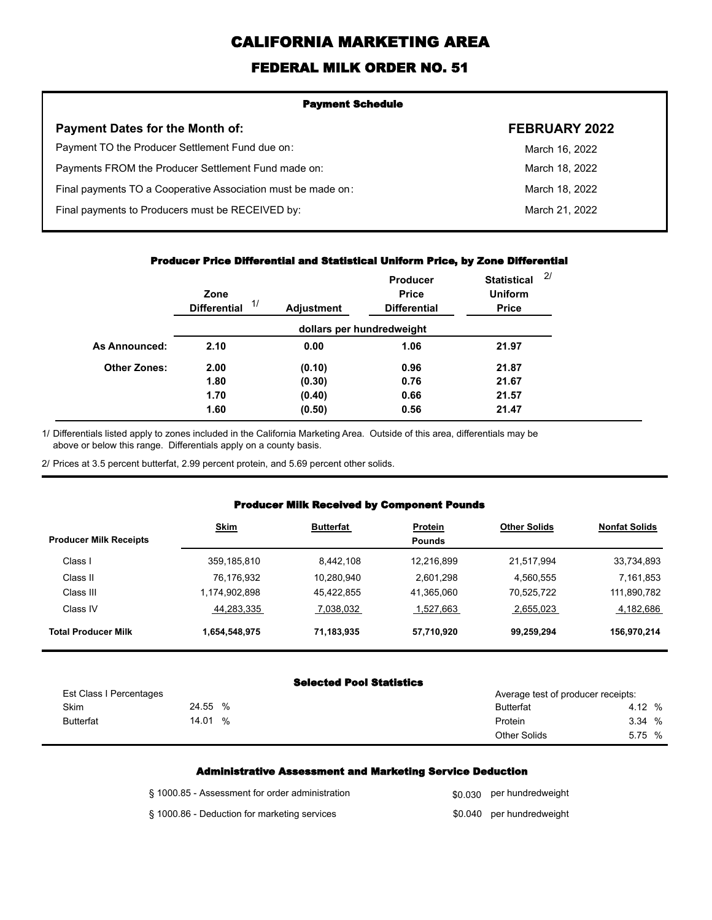# **CALIFORNIA MARKETING AREA**

### **FEDERAL MILK ORDER NO. 51**

| <b>Payment Schedule</b>                                      |                      |  |
|--------------------------------------------------------------|----------------------|--|
| <b>Payment Dates for the Month of:</b>                       | <b>FEBRUARY 2022</b> |  |
| Payment TO the Producer Settlement Fund due on:              | March 16, 2022       |  |
| Payments FROM the Producer Settlement Fund made on:          | March 18, 2022       |  |
| Final payments TO a Cooperative Association must be made on: | March 18, 2022       |  |
| Final payments to Producers must be RECEIVED by:             | March 21, 2022       |  |
|                                                              |                      |  |

#### **Producer Price Differential and Statistical Uniform Price, by Zone Differential**

|                     | Zone<br>1/<br><b>Differential</b> | <b>Adjustment</b> | Producer<br><b>Price</b><br><b>Differential</b> | <b>Statistical</b><br><b>Uniform</b><br><b>Price</b> | 2/ |
|---------------------|-----------------------------------|-------------------|-------------------------------------------------|------------------------------------------------------|----|
|                     |                                   |                   | dollars per hundredweight                       |                                                      |    |
| As Announced:       | 2.10                              | 0.00              | 1.06                                            | 21.97                                                |    |
| <b>Other Zones:</b> | 2.00                              | (0.10)            | 0.96                                            | 21.87                                                |    |
|                     | 1.80                              | (0.30)            | 0.76                                            | 21.67                                                |    |
|                     | 1.70                              | (0.40)            | 0.66                                            | 21.57                                                |    |
|                     | 1.60                              | (0.50)            | 0.56                                            | 21.47                                                |    |

Differentials listed apply to zones included in the California Marketing Area. Outside of this area, differentials may be above or below this range. Differentials apply on a county basis. 1/

2/ Prices at 3.5 percent butterfat, 2.99 percent protein, and 5.69 percent other solids.

#### **Producer Milk Received by Component Pounds**

| <b>Producer Milk Receipts</b> | <b>Skim</b>   | <b>Butterfat</b> | Protein<br><b>Pounds</b> | <b>Other Solids</b> | <b>Nonfat Solids</b> |
|-------------------------------|---------------|------------------|--------------------------|---------------------|----------------------|
| Class I                       | 359,185,810   | 8.442.108        | 12.216.899               | 21.517.994          | 33,734,893           |
| Class II                      | 76,176,932    | 10,280,940       | 2,601,298                | 4,560,555           | 7,161,853            |
| Class III                     | 1,174,902,898 | 45.422.855       | 41,365,060               | 70,525,722          | 111,890,782          |
| Class IV                      | 44,283,335    | 7,038,032        | 1,527,663                | 2,655,023           | 4,182,686            |
| <b>Total Producer Milk</b>    | 1,654,548,975 | 71,183,935       | 57,710,920               | 99,259,294          | 156,970,214          |

#### **Selected Pool Statistics**

| Est Class I Percentages |               | Average test of producer receipts: |        |
|-------------------------|---------------|------------------------------------|--------|
| Skim                    | 24.55<br>$\%$ | <b>Butterfat</b>                   | 4.12 % |
| <b>Butterfat</b>        | 14.01<br>%    | Protein                            | 3.34 % |
|                         |               | <b>Other Solids</b>                | 5.75 % |

#### **Administrative Assessment and Marketing Service Deduction**

| § 1000.85 - Assessment for order administration | \$0,030 per hundredweight |
|-------------------------------------------------|---------------------------|
| § 1000.86 - Deduction for marketing services    | \$0.040 per hundredweight |